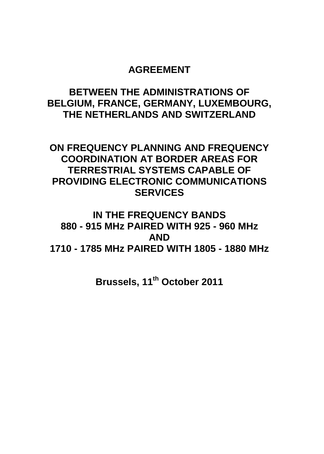# **AGREEMENT**

# **BETWEEN THE ADMINISTRATIONS OF BELGIUM, FRANCE, GERMANY, LUXEMBOURG, THE NETHERLANDS AND SWITZERLAND**

# **ON FREQUENCY PLANNING AND FREQUENCY COORDINATION AT BORDER AREAS FOR TERRESTRIAL SYSTEMS CAPABLE OF PROVIDING ELECTRONIC COMMUNICATIONS SERVICES**

# **IN THE FREQUENCY BANDS 880 - 915 MHz PAIRED WITH 925 - 960 MHz AND 1710 - 1785 MHz PAIRED WITH 1805 - 1880 MHz**

**Brussels, 11th October 2011**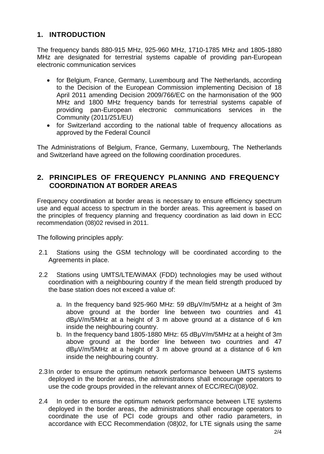## **1. INTRODUCTION**

The frequency bands 880-915 MHz, 925-960 MHz, 1710-1785 MHz and 1805-1880 MHz are designated for terrestrial systems capable of providing pan-European electronic communication services

- for Belgium, France, Germany, Luxembourg and The Netherlands, according to the Decision of the European Commission implementing Decision of 18 April 2011 amending Decision 2009/766/EC on the harmonisation of the 900 MHz and 1800 MHz frequency bands for terrestrial systems capable of providing pan-European electronic communications services in the Community (2011/251/EU)
- for Switzerland according to the national table of frequency allocations as approved by the Federal Council

The Administrations of Belgium, France, Germany, Luxembourg, The Netherlands and Switzerland have agreed on the following coordination procedures.

#### **2. PRINCIPLES OF FREQUENCY PLANNING AND FREQUENCY COORDINATION AT BORDER AREAS**

Frequency coordination at border areas is necessary to ensure efficiency spectrum use and equal access to spectrum in the border areas. This agreement is based on the principles of frequency planning and frequency coordination as laid down in ECC recommendation (08)02 revised in 2011.

The following principles apply:

- 2.1 Stations using the GSM technology will be coordinated according to the Agreements in place.
- 2.2 Stations using UMTS/LTE/WiMAX (FDD) technologies may be used without coordination with a neighbouring country if the mean field strength produced by the base station does not exceed a value of:
	- a. In the frequency band 925-960 MHz: 59 dBμV/m/5MHz at a height of 3m above ground at the border line between two countries and 41 dBμV/m/5MHz at a height of 3 m above ground at a distance of 6 km inside the neighbouring country.
	- b. In the frequency band 1805-1880 MHz: 65 dBμV/m/5MHz at a height of 3m above ground at the border line between two countries and 47 dBμV/m/5MHz at a height of 3 m above ground at a distance of 6 km inside the neighbouring country.
- 2.3In order to ensure the optimum network performance between UMTS systems deployed in the border areas, the administrations shall encourage operators to use the code groups provided in the relevant annex of ECC/REC/(08)/02.
- 2.4 In order to ensure the optimum network performance between LTE systems deployed in the border areas, the administrations shall encourage operators to coordinate the use of PCI code groups and other radio parameters, in accordance with ECC Recommendation (08)02, for LTE signals using the same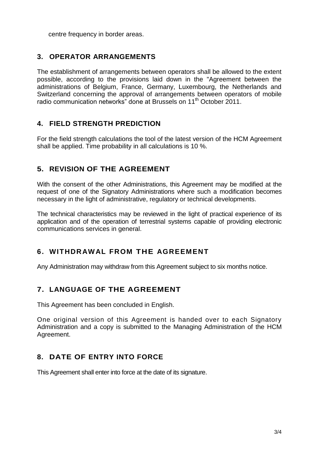centre frequency in border areas.

#### **3. OPERATOR ARRANGEMENTS**

The establishment of arrangements between operators shall be allowed to the extent possible, according to the provisions laid down in the "Agreement between the administrations of Belgium, France, Germany, Luxembourg, the Netherlands and Switzerland concerning the approval of arrangements between operators of mobile radio communication networks" done at Brussels on 11<sup>th</sup> October 2011.

#### **4. FIELD STRENGTH PREDICTION**

For the field strength calculations the tool of the latest version of the HCM Agreement shall be applied. Time probability in all calculations is 10 %.

#### **5. REVISION OF THE AGREEMENT**

With the consent of the other Administrations, this Agreement may be modified at the request of one of the Signatory Administrations where such a modification becomes necessary in the light of administrative, regulatory or technical developments.

The technical characteristics may be reviewed in the light of practical experience of its application and of the operation of terrestrial systems capable of providing electronic communications services in general.

## **6. WITHDRAWAL FROM THE AGREEMENT**

Any Administration may withdraw from this Agreement subject to six months notice.

## **7. LANGUAGE OF THE AGREEMENT**

This Agreement has been concluded in English.

One original version of this Agreement is handed over to each Signatory Administration and a copy is submitted to the Managing Administration of the HCM Agreement.

## **8. DATE OF ENTRY INTO FORCE**

This Agreement shall enter into force at the date of its signature.